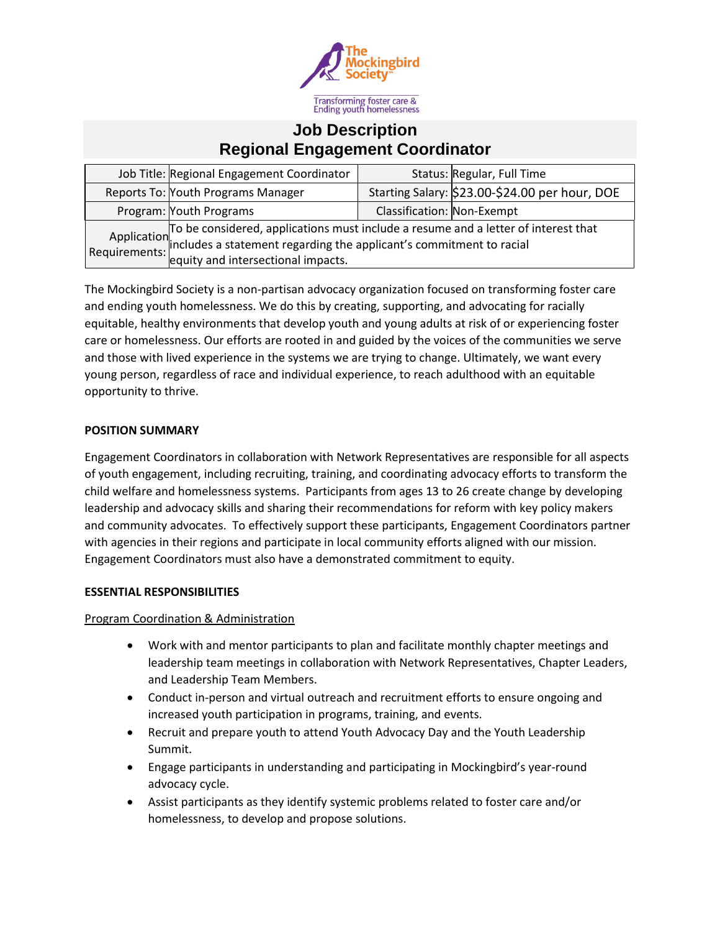

# **Job Description Regional Engagement Coordinator**

| Job Title: Regional Engagement Coordinator                                                                                                                                                                                |                            | Status: Regular, Full Time                     |
|---------------------------------------------------------------------------------------------------------------------------------------------------------------------------------------------------------------------------|----------------------------|------------------------------------------------|
| Reports To: Youth Programs Manager                                                                                                                                                                                        |                            | Starting Salary: \$23.00-\$24.00 per hour, DOE |
| Program: Youth Programs                                                                                                                                                                                                   | Classification: Non-Exempt |                                                |
| Application To be considered, applications must include a resume and a letter of interest that<br>Requirements: includes a statement regarding the applicant's commitment to racial<br>equity and intersectional impacts. |                            |                                                |

The Mockingbird Society is a non-partisan advocacy organization focused on transforming foster care and ending youth homelessness. We do this by creating, supporting, and advocating for racially equitable, healthy environments that develop youth and young adults at risk of or experiencing foster care or homelessness. Our efforts are rooted in and guided by the voices of the communities we serve and those with lived experience in the systems we are trying to change. Ultimately, we want every young person, regardless of race and individual experience, to reach adulthood with an equitable opportunity to thrive.

### **POSITION SUMMARY**

Engagement Coordinators in collaboration with Network Representatives are responsible for all aspects of youth engagement, including recruiting, training, and coordinating advocacy efforts to transform the child welfare and homelessness systems. Participants from ages 13 to 26 create change by developing leadership and advocacy skills and sharing their recommendations for reform with key policy makers and community advocates. To effectively support these participants, Engagement Coordinators partner with agencies in their regions and participate in local community efforts aligned with our mission. Engagement Coordinators must also have a demonstrated commitment to equity.

#### **ESSENTIAL RESPONSIBILITIES**

Program Coordination & Administration

- Work with and mentor participants to plan and facilitate monthly chapter meetings and leadership team meetings in collaboration with Network Representatives, Chapter Leaders, and Leadership Team Members.
- Conduct in-person and virtual outreach and recruitment efforts to ensure ongoing and increased youth participation in programs, training, and events.
- Recruit and prepare youth to attend Youth Advocacy Day and the Youth Leadership Summit.
- Engage participants in understanding and participating in Mockingbird's year-round advocacy cycle.
- Assist participants as they identify systemic problems related to foster care and/or homelessness, to develop and propose solutions.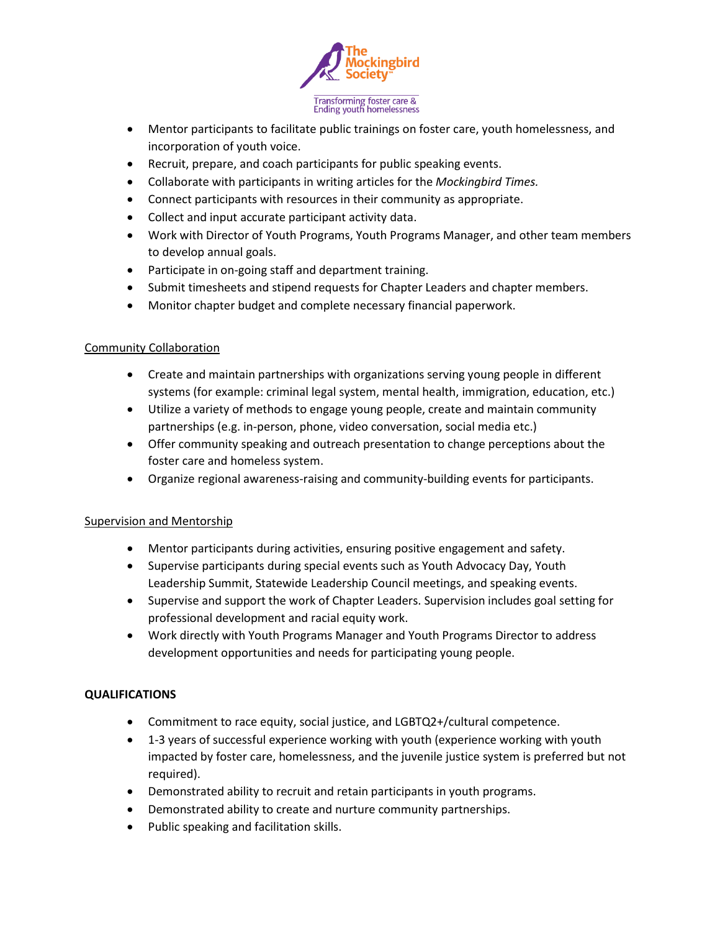

- Mentor participants to facilitate public trainings on foster care, youth homelessness, and incorporation of youth voice.
- Recruit, prepare, and coach participants for public speaking events.
- Collaborate with participants in writing articles for the *Mockingbird Times.*
- Connect participants with resources in their community as appropriate.
- Collect and input accurate participant activity data.
- Work with Director of Youth Programs, Youth Programs Manager, and other team members to develop annual goals.
- Participate in on-going staff and department training.
- Submit timesheets and stipend requests for Chapter Leaders and chapter members.
- Monitor chapter budget and complete necessary financial paperwork.

## Community Collaboration

- Create and maintain partnerships with organizations serving young people in different systems (for example: criminal legal system, mental health, immigration, education, etc.)
- Utilize a variety of methods to engage young people, create and maintain community partnerships (e.g. in-person, phone, video conversation, social media etc.)
- Offer community speaking and outreach presentation to change perceptions about the foster care and homeless system.
- Organize regional awareness-raising and community-building events for participants.

## Supervision and Mentorship

- Mentor participants during activities, ensuring positive engagement and safety.
- Supervise participants during special events such as Youth Advocacy Day, Youth Leadership Summit, Statewide Leadership Council meetings, and speaking events.
- Supervise and support the work of Chapter Leaders. Supervision includes goal setting for professional development and racial equity work.
- Work directly with Youth Programs Manager and Youth Programs Director to address development opportunities and needs for participating young people.

## **QUALIFICATIONS**

- Commitment to race equity, social justice, and LGBTQ2+/cultural competence.
- 1-3 years of successful experience working with youth (experience working with youth impacted by foster care, homelessness, and the juvenile justice system is preferred but not required).
- Demonstrated ability to recruit and retain participants in youth programs.
- Demonstrated ability to create and nurture community partnerships.
- Public speaking and facilitation skills.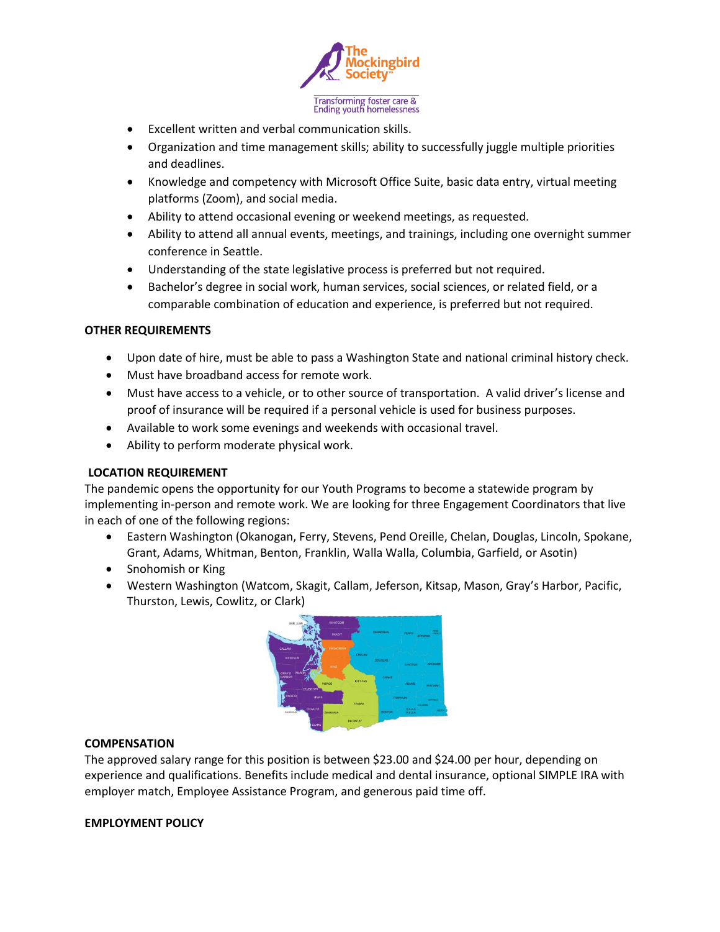

- Excellent written and verbal communication skills.
- Organization and time management skills; ability to successfully juggle multiple priorities and deadlines.
- Knowledge and competency with Microsoft Office Suite, basic data entry, virtual meeting platforms (Zoom), and social media.
- Ability to attend occasional evening or weekend meetings, as requested.
- Ability to attend all annual events, meetings, and trainings, including one overnight summer conference in Seattle.
- Understanding of the state legislative process is preferred but not required.
- Bachelor's degree in social work, human services, social sciences, or related field, or a comparable combination of education and experience, is preferred but not required.

#### **OTHER REQUIREMENTS**

- Upon date of hire, must be able to pass a Washington State and national criminal history check.
- Must have broadband access for remote work.
- Must have access to a vehicle, or to other source of transportation. A valid driver's license and proof of insurance will be required if a personal vehicle is used for business purposes.
- Available to work some evenings and weekends with occasional travel.
- Ability to perform moderate physical work.

#### **LOCATION REQUIREMENT**

The pandemic opens the opportunity for our Youth Programs to become a statewide program by implementing in-person and remote work. We are looking for three Engagement Coordinators that live in each of one of the following regions:

- Eastern Washington (Okanogan, Ferry, Stevens, Pend Oreille, Chelan, Douglas, Lincoln, Spokane, Grant, Adams, Whitman, Benton, Franklin, Walla Walla, Columbia, Garfield, or Asotin)
- Snohomish or King
- Western Washington (Watcom, Skagit, Callam, Jeferson, Kitsap, Mason, Gray's Harbor, Pacific, Thurston, Lewis, Cowlitz, or Clark)



#### **COMPENSATION**

The approved salary range for this position is between \$23.00 and \$24.00 per hour, depending on experience and qualifications. Benefits include medical and dental insurance, optional SIMPLE IRA with employer match, Employee Assistance Program, and generous paid time off.

#### **EMPLOYMENT POLICY**